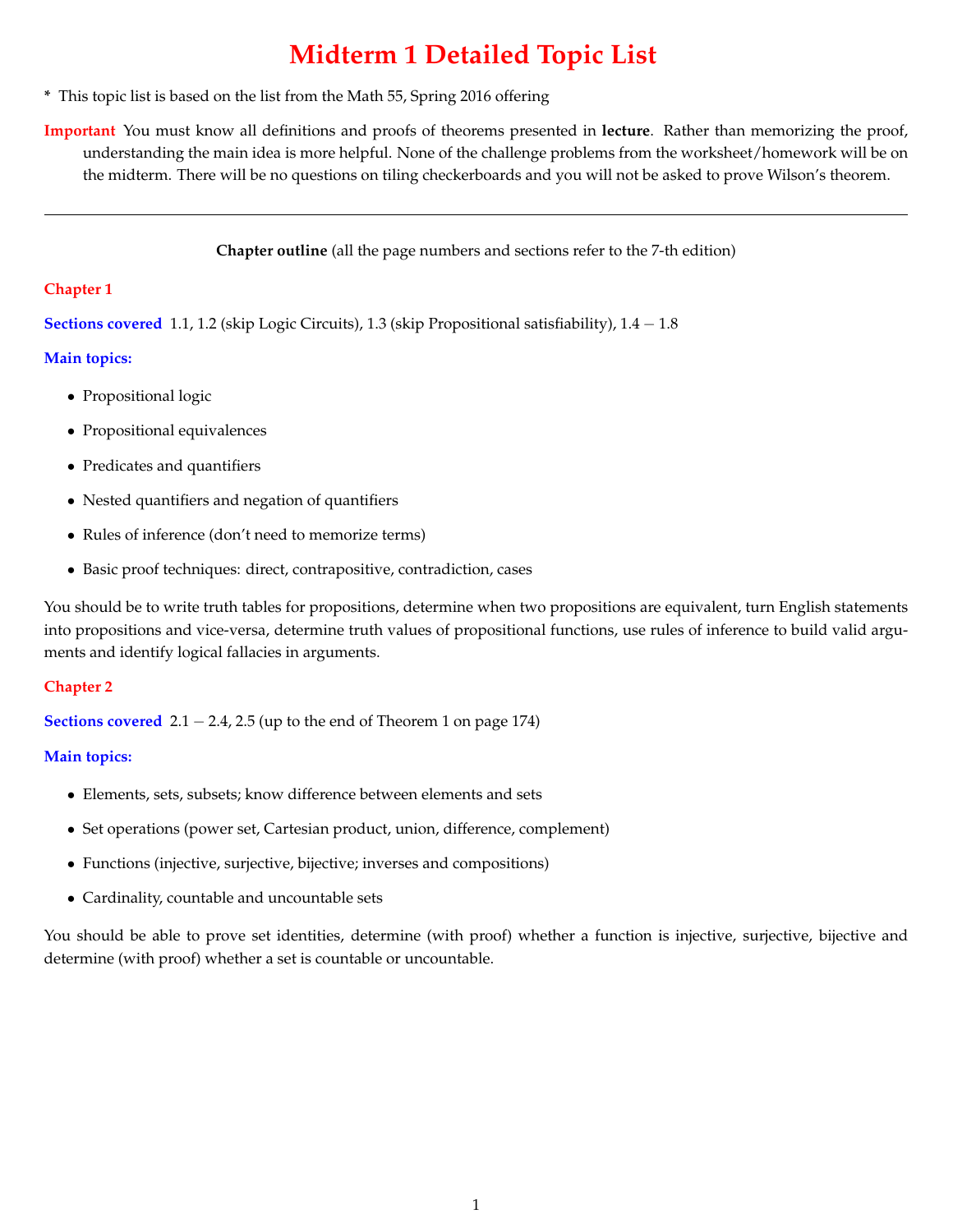# **Midterm 1 Detailed Topic List**

- **\*** This topic list is based on the list from the Math 55, Spring 2016 offering
- **Important** You must know all definitions and proofs of theorems presented in **lecture**. Rather than memorizing the proof, understanding the main idea is more helpful. None of the challenge problems from the worksheet/homework will be on the midterm. There will be no questions on tiling checkerboards and you will not be asked to prove Wilson's theorem.

**Chapter outline** (all the page numbers and sections refer to the 7-th edition)

### **Chapter 1**

**Sections covered** 1.1, 1.2 (skip Logic Circuits), 1.3 (skip Propositional satisfiability), 1.4 - 1.8

### **Main topics:**

- *•* Propositional logic
- *•* Propositional equivalences
- *•* Predicates and quantifiers
- *•* Nested quantifiers and negation of quantifiers
- *•* Rules of inference (don't need to memorize terms)
- Basic proof techniques: direct, contrapositive, contradiction, cases

You should be to write truth tables for propositions, determine when two propositions are equivalent, turn English statements into propositions and vice-versa, determine truth values of propositional functions, use rules of inference to build valid arguments and identify logical fallacies in arguments.

## **Chapter 2**

**Sections covered**  $2.1 - 2.4$ ,  $2.5$  (up to the end of Theorem 1 on page 174)

## **Main topics:**

- *•* Elements, sets, subsets; know difference between elements and sets
- *•* Set operations (power set, Cartesian product, union, difference, complement)
- *•* Functions (injective, surjective, bijective; inverses and compositions)
- *•* Cardinality, countable and uncountable sets

You should be able to prove set identities, determine (with proof) whether a function is injective, surjective, bijective and determine (with proof) whether a set is countable or uncountable.